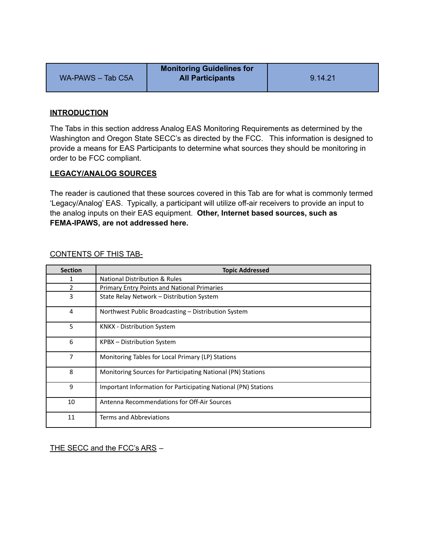|                   | <b>Monitoring Guidelines for</b> |         |
|-------------------|----------------------------------|---------|
| WA-PAWS - Tab C5A | <b>All Participants</b>          | 9.14.21 |

## **INTRODUCTION**

The Tabs in this section address Analog EAS Monitoring Requirements as determined by the Washington and Oregon State SECC's as directed by the FCC. This information is designed to provide a means for EAS Participants to determine what sources they should be monitoring in order to be FCC compliant.

## **LEGACY/ANALOG SOURCES**

The reader is cautioned that these sources covered in this Tab are for what is commonly termed 'Legacy/Analog' EAS. Typically, a participant will utilize off-air receivers to provide an input to the analog inputs on their EAS equipment. **Other, Internet based sources, such as FEMA-IPAWS, are not addressed here.**

| <b>Section</b> | <b>Topic Addressed</b>                                         |
|----------------|----------------------------------------------------------------|
| 1              | <b>National Distribution &amp; Rules</b>                       |
| $\mathcal{P}$  | <b>Primary Entry Points and National Primaries</b>             |
| 3              | State Relay Network – Distribution System                      |
| 4              | Northwest Public Broadcasting – Distribution System            |
| 5              | <b>KNKX</b> - Distribution System                              |
| 6              | KPBX - Distribution System                                     |
| $\overline{7}$ | Monitoring Tables for Local Primary (LP) Stations              |
| 8              | Monitoring Sources for Participating National (PN) Stations    |
| 9              | Important Information for Participating National (PN) Stations |
| 10             | Antenna Recommendations for Off-Air Sources                    |
| 11             | Terms and Abbreviations                                        |

## CONTENTS OF THIS TAB-

THE SECC and the FCC's ARS -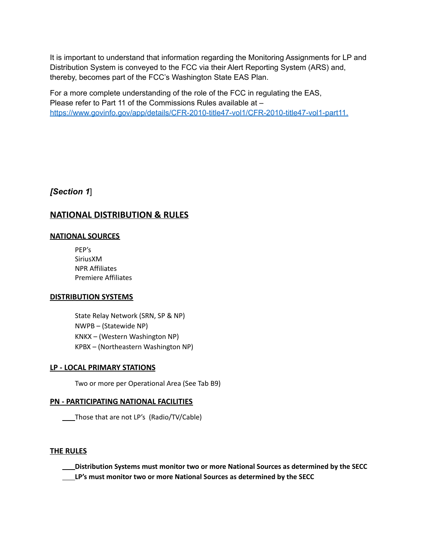It is important to understand that information regarding the Monitoring Assignments for LP and Distribution System is conveyed to the FCC via their Alert Reporting System (ARS) and, thereby, becomes part of the FCC's Washington State EAS Plan.

For a more complete understanding of the role of the FCC in regulating the EAS, Please refer to Part 11 of the Commissions Rules available at – [https://www.govinfo.gov/app/details/CFR-2010-title47-vol1/CFR-2010-title47-vol1-part11.](https://www.govinfo.gov/app/details/CFR-2010-title47-vol1/CFR-2010-title47-vol1-part11)

# *[Section 1*]

# **NATIONAL DISTRIBUTION & RULES**

## **NATIONAL SOURCES**

PEP's SiriusXM NPR Affiliates Premiere Affiliates

## **DISTRIBUTION SYSTEMS**

State Relay Network (SRN, SP & NP) NWPB – (Statewide NP) KNKX – (Western Washington NP) KPBX – (Northeastern Washington NP)

## **LP - LOCAL PRIMARY STATIONS**

Two or more per Operational Area (See Tab B9)

### **PN - PARTICIPATING NATIONAL FACILITIES**

Those that are not LP's (Radio/TV/Cable)

### **THE RULES**

**Distribution Systems must monitor two or more National Sources as determined by the SECC**

**LP's must monitor two or more National Sources as determined by the SECC**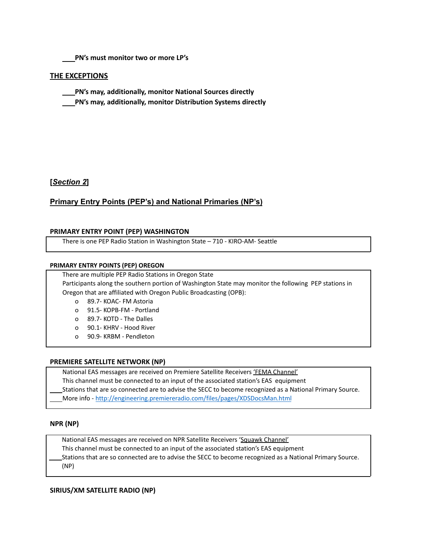**PN's must monitor two or more LP's**

### **THE EXCEPTIONS**

- **PN's may, additionally, monitor National Sources directly**
- **PN's may, additionally, monitor Distribution Systems directly**

### **[***Section 2***]**

### **Primary Entry Points (PEP's) and National Primaries (NP's)**

#### **PRIMARY ENTRY POINT (PEP) WASHINGTON**

There is one PEP Radio Station in Washington State – 710 - KIRO-AM- Seattle

#### **PRIMARY ENTRY POINTS (PEP) OREGON**

There are multiple PEP Radio Stations in Oregon State

Participants along the southern portion of Washington State may monitor the following PEP stations in Oregon that are affiliated with Oregon Public Broadcasting (OPB):

- o 89.7- KOAC- FM Astoria
- o 91.5- KOPB-FM Portland
- o 89.7- KOTD The Dalles
- o 90.1- KHRV Hood River
- o 90.9- KRBM Pendleton

#### **PREMIERE SATELLITE NETWORK (NP)**

National EAS messages are received on Premiere Satellite Receivers 'FEMA Channel' This channel must be connected to an input of the associated station's EAS equipment

Stations that are so connected are to advise the SECC to become recognized as a National Primary Source.

More info - <http://engineering.premiereradio.com/files/pages/XDSDocsMan.html>

#### **NPR (NP)**

National EAS messages are received on NPR Satellite Receivers 'Squawk Channel'

This channel must be connected to an input of the associated station's EAS equipment

Stations that are so connected are to advise the SECC to become recognized as a National Primary Source. (NP)

**SIRIUS/XM SATELLITE RADIO (NP)**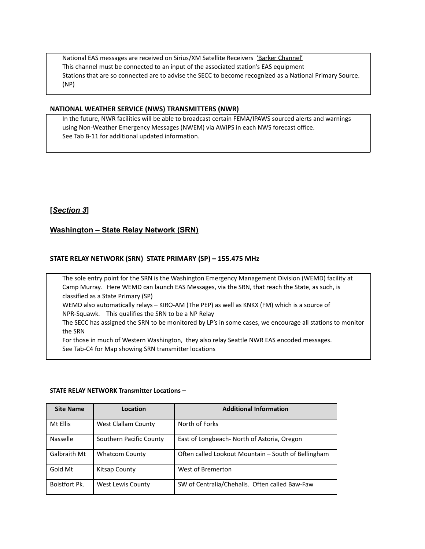National EAS messages are received on Sirius/XM Satellite Receivers 'Barker Channel' This channel must be connected to an input of the associated station's EAS equipment Stations that are so connected are to advise the SECC to become recognized as a National Primary Source. (NP)

### **NATIONAL WEATHER SERVICE (NWS) TRANSMITTERS (NWR)**

In the future, NWR facilities will be able to broadcast certain FEMA/IPAWS sourced alerts and warnings using Non-Weather Emergency Messages (NWEM) via AWIPS in each NWS forecast office. See Tab B-11 for additional updated information.

## **[***Section 3***]**

## **Washington – State Relay Network (SRN)**

### **STATE RELAY NETWORK (SRN) STATE PRIMARY (SP) – 155.475 MHz**

The sole entry point for the SRN is the Washington Emergency Management Division (WEMD) facility at Camp Murray. Here WEMD can launch EAS Messages, via the SRN, that reach the State, as such, is classified as a State Primary (SP) WEMD also automatically relays – KIRO-AM (The PEP) as well as KNKX (FM) which is a source of

NPR-Squawk. This qualifies the SRN to be a NP Relay

The SECC has assigned the SRN to be monitored by LP's in some cases, we encourage all stations to monitor the SRN

For those in much of Western Washington, they also relay Seattle NWR EAS encoded messages. See Tab-C4 for Map showing SRN transmitter locations

#### **STATE RELAY NETWORK Transmitter Locations –**

| <b>Site Name</b> | Location                 | <b>Additional Information</b>                       |
|------------------|--------------------------|-----------------------------------------------------|
| Mt Ellis         | West Clallam County      | North of Forks                                      |
| Nasselle         | Southern Pacific County  | East of Longbeach- North of Astoria, Oregon         |
| Galbraith Mt     | <b>Whatcom County</b>    | Often called Lookout Mountain - South of Bellingham |
| Gold Mt          | Kitsap County            | West of Bremerton                                   |
| Boistfort Pk.    | <b>West Lewis County</b> | SW of Centralia/Chehalis. Often called Baw-Faw      |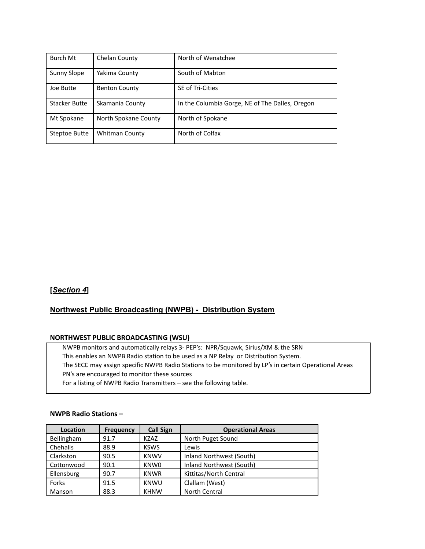| Burch Mt             | Chelan County         | North of Wenatchee                              |
|----------------------|-----------------------|-------------------------------------------------|
| <b>Sunny Slope</b>   | Yakima County         | South of Mabton                                 |
| Joe Butte            | <b>Benton County</b>  | SE of Tri-Cities                                |
| <b>Stacker Butte</b> | Skamania County       | In the Columbia Gorge, NE of The Dalles, Oregon |
| Mt Spokane           | North Spokane County  | North of Spokane                                |
| Steptoe Butte        | <b>Whitman County</b> | North of Colfax                                 |

## **[***Section 4***]**

## **Northwest Public Broadcasting (NWPB) - Distribution System**

### **NORTHWEST PUBLIC BROADCASTING (WSU)**

NWPB monitors and automatically relays 3- PEP's: NPR/Squawk, Sirius/XM & the SRN This enables an NWPB Radio station to be used as a NP Relay or Distribution System. The SECC may assign specific NWPB Radio Stations to be monitored by LP's in certain Operational Areas PN's are encouraged to monitor these sources For a listing of NWPB Radio Transmitters – see the following table.

### **NWPB Radio Stations –**

| Location   | <b>Frequency</b> | <b>Call Sign</b> | <b>Operational Areas</b> |
|------------|------------------|------------------|--------------------------|
| Bellingham | 91.7             | <b>KZAZ</b>      | North Puget Sound        |
| Chehalis   | 88.9             | <b>KSWS</b>      | Lewis                    |
| Clarkston  | 90.5             | <b>KNWV</b>      | Inland Northwest (South) |
| Cottonwood | 90.1             | KNW <sub>0</sub> | Inland Northwest (South) |
| Ellensburg | 90.7             | <b>KNWR</b>      | Kittitas/North Central   |
| Forks      | 91.5             | <b>KNWU</b>      | Clallam (West)           |
| Manson     | 88.3             | <b>KHNW</b>      | North Central            |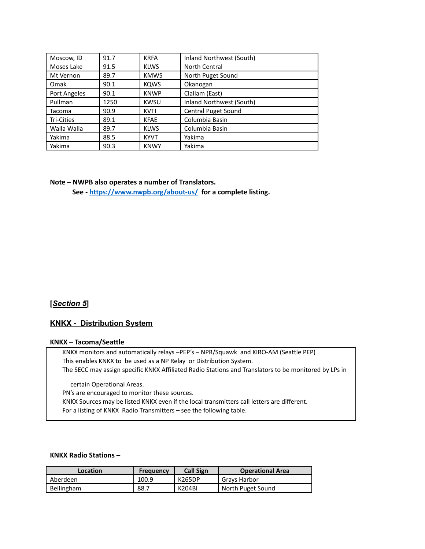| Moscow, ID   | 91.7 | <b>KRFA</b> | Inland Northwest (South)   |
|--------------|------|-------------|----------------------------|
| Moses Lake   | 91.5 | <b>KLWS</b> | North Central              |
| Mt Vernon    | 89.7 | <b>KMWS</b> | North Puget Sound          |
| Omak         | 90.1 | <b>KOWS</b> | Okanogan                   |
| Port Angeles | 90.1 | <b>KNWP</b> | Clallam (East)             |
| Pullman      | 1250 | <b>KWSU</b> | Inland Northwest (South)   |
| Tacoma       | 90.9 | <b>KVTI</b> | <b>Central Puget Sound</b> |
| Tri-Cities   | 89.1 | <b>KFAE</b> | Columbia Basin             |
| Walla Walla  | 89.7 | <b>KLWS</b> | Columbia Basin             |
| Yakima       | 88.5 | <b>KYVT</b> | Yakima                     |
| Yakima       | 90.3 | <b>KNWY</b> | Yakima                     |

#### **Note – NWPB also operates a number of Translators.**

**See - <https://www.nwpb.org/about-us/> for a complete listing.**

### **[***Section 5***]**

### **KNKX - Distribution System**

#### **KNKX – Tacoma/Seattle**

KNKX monitors and automatically relays –PEP's – NPR/Squawk and KIRO-AM (Seattle PEP) This enables KNKX to be used as a NP Relay or Distribution System. The SECC may assign specific KNKX Affiliated Radio Stations and Translators to be monitored by LPs in

certain Operational Areas.

PN's are encouraged to monitor these sources.

KNKX Sources may be listed KNKX even if the local transmitters call letters are different. For a listing of KNKX Radio Transmitters – see the following table.

### **KNKX Radio Stations –**

| Location          | Frequency | <b>Call Sign</b> | <b>Operational Area</b> |
|-------------------|-----------|------------------|-------------------------|
| Aberdeen          | 100.9     | K265DP           | Gravs Harbor            |
| <b>Bellingham</b> | 88.7      | K204BI           | North Puget Sound       |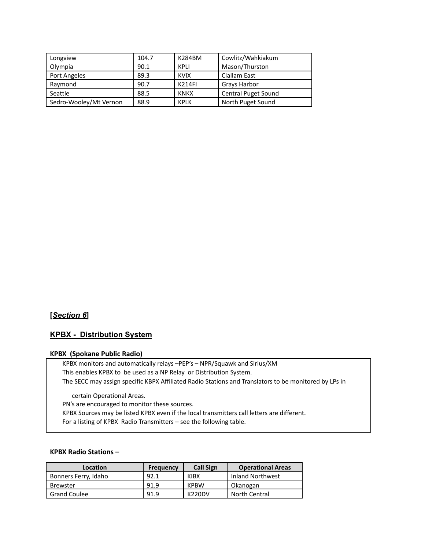| Longview               | 104.7 | K284BM        | Cowlitz/Wahkiakum          |
|------------------------|-------|---------------|----------------------------|
| Olympia                | 90.1  | KPLI          | Mason/Thurston             |
| Port Angeles           | 89.3  | <b>KVIX</b>   | Clallam East               |
| Raymond                | 90.7  | <b>K214FI</b> | Grays Harbor               |
| Seattle                | 88.5  | KNKX          | <b>Central Puget Sound</b> |
| Sedro-Wooley/Mt Vernon | 88.9  | <b>KPLK</b>   | North Puget Sound          |

## **[***Section 6***]**

# **KPBX - Distribution System**

#### **KPBX (Spokane Public Radio)**

KPBX monitors and automatically relays –PEP's – NPR/Squawk and Sirius/XM This enables KPBX to be used as a NP Relay or Distribution System. The SECC may assign specific KBPX Affiliated Radio Stations and Translators to be monitored by LPs in

certain Operational Areas.

PN's are encouraged to monitor these sources.

KPBX Sources may be listed KPBX even if the local transmitters call letters are different.

For a listing of KPBX Radio Transmitters – see the following table.

#### **KPBX Radio Stations –**

| Location             | <b>Frequency</b> | <b>Call Sign</b> | <b>Operational Areas</b> |
|----------------------|------------------|------------------|--------------------------|
| Bonners Ferry, Idaho | 92.1             | <b>KIBX</b>      | Inland Northwest         |
| <b>Brewster</b>      | 91.9             | <b>KPBW</b>      | Okanogan                 |
| <b>Grand Coulee</b>  | 91.9             | <b>K220DV</b>    | North Central            |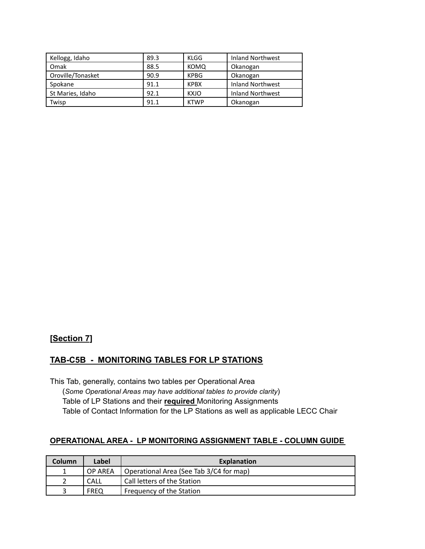| Kellogg, Idaho    | 89.3 | KLGG        | <b>Inland Northwest</b> |
|-------------------|------|-------------|-------------------------|
| Omak              | 88.5 | <b>KOMQ</b> | Okanogan                |
| Oroville/Tonasket | 90.9 | <b>KPBG</b> | Okanogan                |
| Spokane           | 91.1 | <b>KPBX</b> | <b>Inland Northwest</b> |
| St Maries, Idaho  | 92.1 | <b>KXJO</b> | <b>Inland Northwest</b> |
| Twisp             | 91.1 | <b>KTWP</b> | Okanogan                |

# **[Section 7]**

## **TAB-C5B - MONITORING TABLES FOR LP STATIONS**

This Tab, generally, contains two tables per Operational Area (*Some Operational Areas may have additional tables to provide clarity*) Table of LP Stations and their **required** Monitoring Assignments Table of Contact Information for the LP Stations as well as applicable LECC Chair

## **OPERATIONAL AREA - LP MONITORING ASSIGNMENT TABLE - COLUMN GUIDE**

| Column | Label       | <b>Explanation</b>                      |
|--------|-------------|-----------------------------------------|
|        | OP AREA     | Operational Area (See Tab 3/C4 for map) |
|        | CALL        | Call letters of the Station             |
|        | <b>FREO</b> | Frequency of the Station                |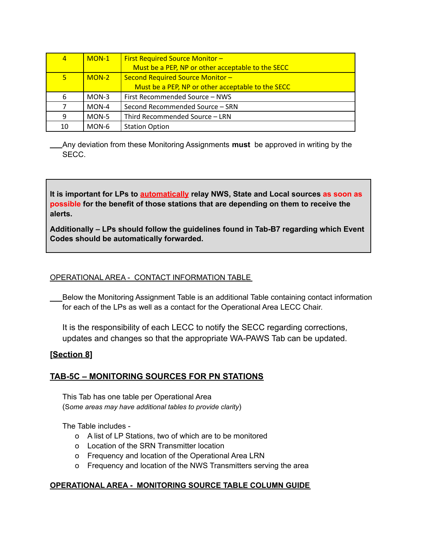| $\overline{4}$ | $MON-1$ | <b>First Required Source Monitor -</b>            |
|----------------|---------|---------------------------------------------------|
|                |         | Must be a PEP, NP or other acceptable to the SECC |
| 5              | $MON-2$ | Second Required Source Monitor -                  |
|                |         | Must be a PEP, NP or other acceptable to the SECC |
| 6              | MON-3   | First Recommended Source - NWS                    |
|                | $MON-4$ | Second Recommended Source - SRN                   |
| 9              | MON-5   | Third Recommended Source - LRN                    |
| 10             | MON-6   | <b>Station Option</b>                             |

Any deviation from these Monitoring Assignments **must** be approved in writing by the SECC.

**It is important for LPs to automatically relay NWS, State and Local sources as soon as possible for the benefit of those stations that are depending on them to receive the alerts.**

**Additionally – LPs should follow the guidelines found in Tab-B7 regarding which Event Codes should be automatically forwarded.**

# OPERATIONAL AREA - CONTACT INFORMATION TABLE

Below the Monitoring Assignment Table is an additional Table containing contact information for each of the LPs as well as a contact for the Operational Area LECC Chair.

It is the responsibility of each LECC to notify the SECC regarding corrections, updates and changes so that the appropriate WA-PAWS Tab can be updated.

# **[Section 8]**

# **TAB-5C – MONITORING SOURCES FOR PN STATIONS**

This Tab has one table per Operational Area (S*ome areas may have additional tables to provide clarity*)

The Table includes -

- o A list of LP Stations, two of which are to be monitored
- o Location of the SRN Transmitter location
- o Frequency and location of the Operational Area LRN
- o Frequency and location of the NWS Transmitters serving the area

# **OPERATIONAL AREA - MONITORING SOURCE TABLE COLUMN GUIDE**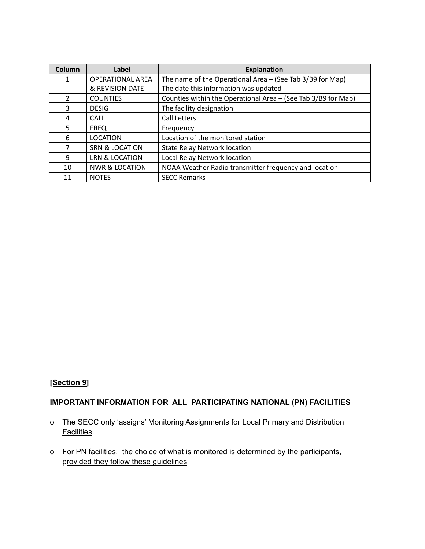| Column         | Label                     | <b>Explanation</b>                                            |
|----------------|---------------------------|---------------------------------------------------------------|
| 1              | <b>OPERATIONAL AREA</b>   | The name of the Operational Area $-$ (See Tab 3/B9 for Map)   |
|                | & REVISION DATE           | The date this information was updated                         |
| $\overline{2}$ | <b>COUNTIES</b>           | Counties within the Operational Area - (See Tab 3/B9 for Map) |
| 3              | <b>DESIG</b>              | The facility designation                                      |
| 4              | <b>CALL</b>               | <b>Call Letters</b>                                           |
| 5.             | <b>FREQ</b>               | Frequency                                                     |
| 6              | <b>LOCATION</b>           | Location of the monitored station                             |
| 7              | SRN & LOCATION            | <b>State Relay Network location</b>                           |
| 9              | LRN & LOCATION            | Local Relay Network location                                  |
| 10             | <b>NWR &amp; LOCATION</b> | NOAA Weather Radio transmitter frequency and location         |
| 11             | <b>NOTES</b>              | <b>SECC Remarks</b>                                           |

# **[Section 9]**

## **IMPORTANT INFORMATION FOR ALL PARTICIPATING NATIONAL (PN) FACILITIES**

# o The SECC only 'assigns' Monitoring Assignments for Local Primary and Distribution Facilities.

o For PN facilities, the choice of what is monitored is determined by the participants, provided they follow these guidelines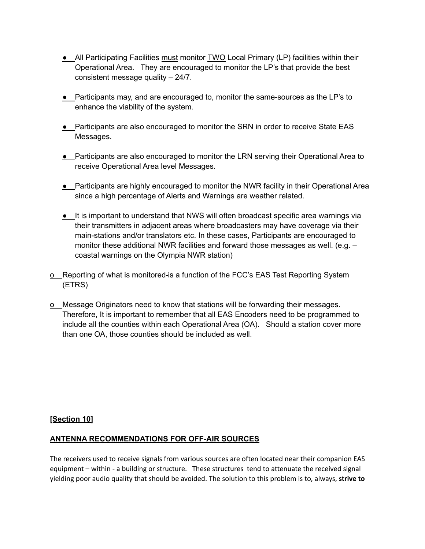- All Participating Facilities must monitor TWO Local Primary (LP) facilities within their Operational Area. They are encouraged to monitor the LP's that provide the best consistent message quality – 24/7.
- Participants may, and are encouraged to, monitor the same-sources as the LP's to enhance the viability of the system.
- Participants are also encouraged to monitor the SRN in order to receive State EAS Messages.
- **•** Participants are also encouraged to monitor the LRN serving their Operational Area to receive Operational Area level Messages.
- Participants are highly encouraged to monitor the NWR facility in their Operational Area since a high percentage of Alerts and Warnings are weather related.
- **•** It is important to understand that NWS will often broadcast specific area warnings via their transmitters in adjacent areas where broadcasters may have coverage via their main-stations and/or translators etc. In these cases, Participants are encouraged to monitor these additional NWR facilities and forward those messages as well. (e.g. – coastal warnings on the Olympia NWR station)
- o Reporting of what is monitored is a function of the FCC's EAS Test Reporting System (ETRS)
- o Message Originators need to know that stations will be forwarding their messages. Therefore, It is important to remember that all EAS Encoders need to be programmed to include all the counties within each Operational Area (OA). Should a station cover more than one OA, those counties should be included as well.

## **[Section 10]**

## **ANTENNA RECOMMENDATIONS FOR OFF-AIR SOURCES**

The receivers used to receive signals from various sources are often located near their companion EAS equipment – within - a building or structure. These structures tend to attenuate the received signal yielding poor audio quality that should be avoided. The solution to this problem is to, always, **strive to**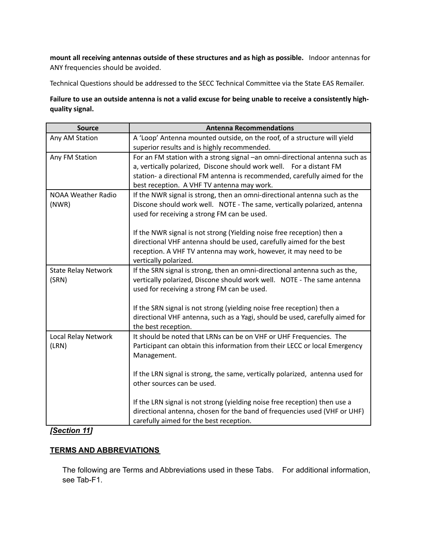**mount all receiving antennas outside of these structures and as high as possible.** Indoor antennas for ANY frequencies should be avoided.

Technical Questions should be addressed to the SECC Technical Committee via the State EAS Remailer.

Failure to use an outside antenna is not a valid excuse for being unable to receive a consistently high**quality signal.**

| <b>Antenna Recommendations</b>                                                                      |
|-----------------------------------------------------------------------------------------------------|
| A 'Loop' Antenna mounted outside, on the roof, of a structure will yield                            |
| superior results and is highly recommended.                                                         |
| For an FM station with a strong signal -an omni-directional antenna such as                         |
| a, vertically polarized, Discone should work well. For a distant FM                                 |
| station- a directional FM antenna is recommended, carefully aimed for the                           |
| best reception. A VHF TV antenna may work.                                                          |
| If the NWR signal is strong, then an omni-directional antenna such as the                           |
| Discone should work well. NOTE - The same, vertically polarized, antenna                            |
| used for receiving a strong FM can be used.                                                         |
|                                                                                                     |
| If the NWR signal is not strong (Yielding noise free reception) then a                              |
| directional VHF antenna should be used, carefully aimed for the best                                |
| reception. A VHF TV antenna may work, however, it may need to be                                    |
| vertically polarized.                                                                               |
| If the SRN signal is strong, then an omni-directional antenna such as the,                          |
| vertically polarized, Discone should work well. NOTE - The same antenna                             |
| used for receiving a strong FM can be used.                                                         |
|                                                                                                     |
| If the SRN signal is not strong (yielding noise free reception) then a                              |
| directional VHF antenna, such as a Yagi, should be used, carefully aimed for<br>the best reception. |
| It should be noted that LRNs can be on VHF or UHF Frequencies. The                                  |
| Participant can obtain this information from their LECC or local Emergency                          |
| Management.                                                                                         |
|                                                                                                     |
| If the LRN signal is strong, the same, vertically polarized, antenna used for                       |
| other sources can be used.                                                                          |
|                                                                                                     |
| If the LRN signal is not strong (yielding noise free reception) then use a                          |
| directional antenna, chosen for the band of frequencies used (VHF or UHF)                           |
| carefully aimed for the best reception.                                                             |
|                                                                                                     |

# *[Section 11]*

# **TERMS AND ABBREVIATIONS**

The following are Terms and Abbreviations used in these Tabs. For additional information, see Tab-F1.